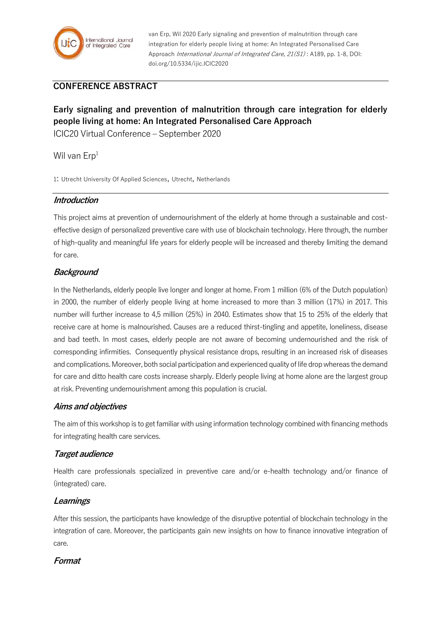

van Erp, Wil 2020 Early signaling and prevention of malnutrition through care integration for elderly people living at home: An Integrated Personalised Care Approach International Journal of Integrated Care, 21(S1) : A189, pp. 1-8, DOI: doi.org/10.5334/ijic.ICIC2020

## **CONFERENCE ABSTRACT**

# **Early signaling and prevention of malnutrition through care integration for elderly people living at home: An Integrated Personalised Care Approach**

ICIC20 Virtual Conference – September 2020

Wil van  $Erp<sup>1</sup>$ 

1: Utrecht University Of Applied Sciences, Utrecht, Netherlands

#### **Introduction**

This project aims at prevention of undernourishment of the elderly at home through a sustainable and costeffective design of personalized preventive care with use of blockchain technology. Here through, the number of high-quality and meaningful life years for elderly people will be increased and thereby limiting the demand for care.

## **Background**

In the Netherlands, elderly people live longer and longer at home. From 1 million (6% of the Dutch population) in 2000, the number of elderly people living at home increased to more than 3 million (17%) in 2017. This number will further increase to 4,5 million (25%) in 2040. Estimates show that 15 to 25% of the elderly that receive care at home is malnourished. Causes are a reduced thirst-tingling and appetite, loneliness, disease and bad teeth. In most cases, elderly people are not aware of becoming undernourished and the risk of corresponding infirmities. Consequently physical resistance drops, resulting in an increased risk of diseases and complications. Moreover, both social participation and experienced quality of life drop whereas the demand for care and ditto health care costs increase sharply. Elderly people living at home alone are the largest group at risk. Preventing undernourishment among this population is crucial.

#### **Aims and objectives**

The aim of this workshop is to get familiar with using information technology combined with financing methods for integrating health care services.

## **Target audience**

Health care professionals specialized in preventive care and/or e-health technology and/or finance of (integrated) care.

## **Learnings**

After this session, the participants have knowledge of the disruptive potential of blockchain technology in the integration of care. Moreover, the participants gain new insights on how to finance innovative integration of care.

## **Format**